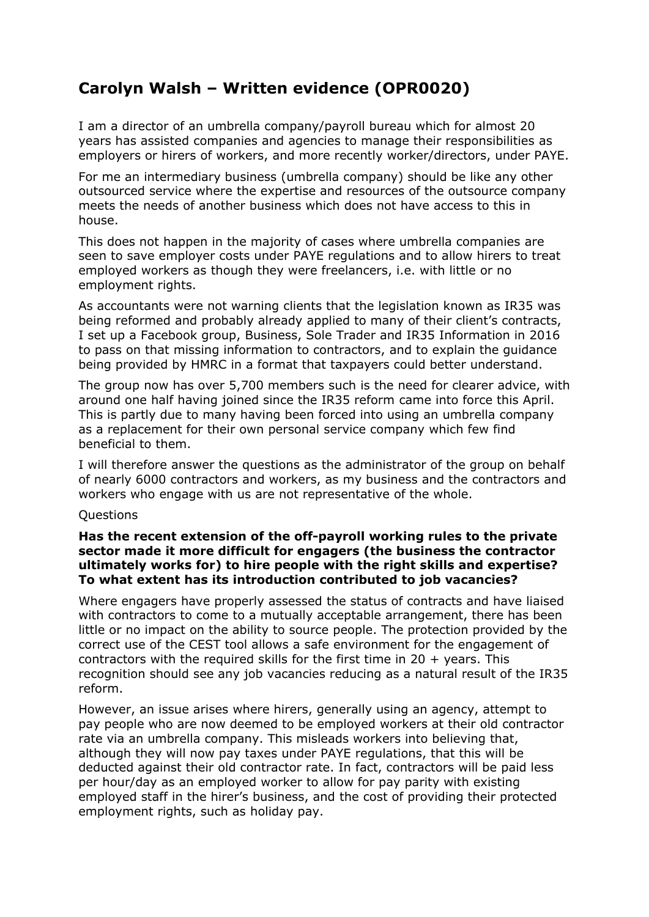# **Carolyn Walsh – Written evidence (OPR0020)**

I am a director of an umbrella company/payroll bureau which for almost 20 years has assisted companies and agencies to manage their responsibilities as employers or hirers of workers, and more recently worker/directors, under PAYE.

For me an intermediary business (umbrella company) should be like any other outsourced service where the expertise and resources of the outsource company meets the needs of another business which does not have access to this in house.

This does not happen in the majority of cases where umbrella companies are seen to save employer costs under PAYE regulations and to allow hirers to treat employed workers as though they were freelancers, i.e. with little or no employment rights.

As accountants were not warning clients that the legislation known as IR35 was being reformed and probably already applied to many of their client's contracts, I set up a Facebook group, Business, Sole Trader and IR35 Information in 2016 to pass on that missing information to contractors, and to explain the guidance being provided by HMRC in a format that taxpayers could better understand.

The group now has over 5,700 members such is the need for clearer advice, with around one half having joined since the IR35 reform came into force this April. This is partly due to many having been forced into using an umbrella company as a replacement for their own personal service company which few find beneficial to them.

I will therefore answer the questions as the administrator of the group on behalf of nearly 6000 contractors and workers, as my business and the contractors and workers who engage with us are not representative of the whole.

### **Questions**

## **Has the recent extension of the off-payroll working rules to the private sector made it more difficult for engagers (the business the contractor ultimately works for) to hire people with the right skills and expertise? To what extent has its introduction contributed to job vacancies?**

Where engagers have properly assessed the status of contracts and have liaised with contractors to come to a mutually acceptable arrangement, there has been little or no impact on the ability to source people. The protection provided by the correct use of the CEST tool allows a safe environment for the engagement of contractors with the required skills for the first time in 20  $+$  years. This recognition should see any job vacancies reducing as a natural result of the IR35 reform.

However, an issue arises where hirers, generally using an agency, attempt to pay people who are now deemed to be employed workers at their old contractor rate via an umbrella company. This misleads workers into believing that, although they will now pay taxes under PAYE regulations, that this will be deducted against their old contractor rate. In fact, contractors will be paid less per hour/day as an employed worker to allow for pay parity with existing employed staff in the hirer's business, and the cost of providing their protected employment rights, such as holiday pay.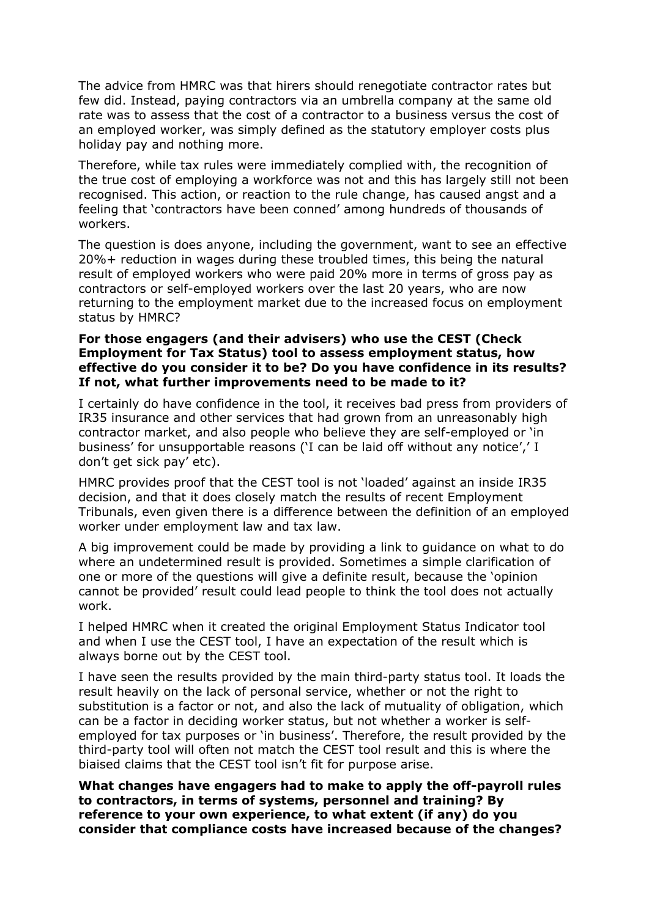The advice from HMRC was that hirers should renegotiate contractor rates but few did. Instead, paying contractors via an umbrella company at the same old rate was to assess that the cost of a contractor to a business versus the cost of an employed worker, was simply defined as the statutory employer costs plus holiday pay and nothing more.

Therefore, while tax rules were immediately complied with, the recognition of the true cost of employing a workforce was not and this has largely still not been recognised. This action, or reaction to the rule change, has caused angst and a feeling that 'contractors have been conned' among hundreds of thousands of workers.

The question is does anyone, including the government, want to see an effective 20%+ reduction in wages during these troubled times, this being the natural result of employed workers who were paid 20% more in terms of gross pay as contractors or self-employed workers over the last 20 years, who are now returning to the employment market due to the increased focus on employment status by HMRC?

## **For those engagers (and their advisers) who use the CEST (Check Employment for Tax Status) tool to assess employment status, how effective do you consider it to be? Do you have confidence in its results? If not, what further improvements need to be made to it?**

I certainly do have confidence in the tool, it receives bad press from providers of IR35 insurance and other services that had grown from an unreasonably high contractor market, and also people who believe they are self-employed or 'in business' for unsupportable reasons ('I can be laid off without any notice',' I don't get sick pay' etc).

HMRC provides proof that the CEST tool is not 'loaded' against an inside IR35 decision, and that it does closely match the results of recent Employment Tribunals, even given there is a difference between the definition of an employed worker under employment law and tax law.

A big improvement could be made by providing a link to guidance on what to do where an undetermined result is provided. Sometimes a simple clarification of one or more of the questions will give a definite result, because the 'opinion cannot be provided' result could lead people to think the tool does not actually work.

I helped HMRC when it created the original Employment Status Indicator tool and when I use the CEST tool, I have an expectation of the result which is always borne out by the CEST tool.

I have seen the results provided by the main third-party status tool. It loads the result heavily on the lack of personal service, whether or not the right to substitution is a factor or not, and also the lack of mutuality of obligation, which can be a factor in deciding worker status, but not whether a worker is selfemployed for tax purposes or 'in business'. Therefore, the result provided by the third-party tool will often not match the CEST tool result and this is where the biaised claims that the CEST tool isn't fit for purpose arise.

**What changes have engagers had to make to apply the off-payroll rules to contractors, in terms of systems, personnel and training? By reference to your own experience, to what extent (if any) do you consider that compliance costs have increased because of the changes?**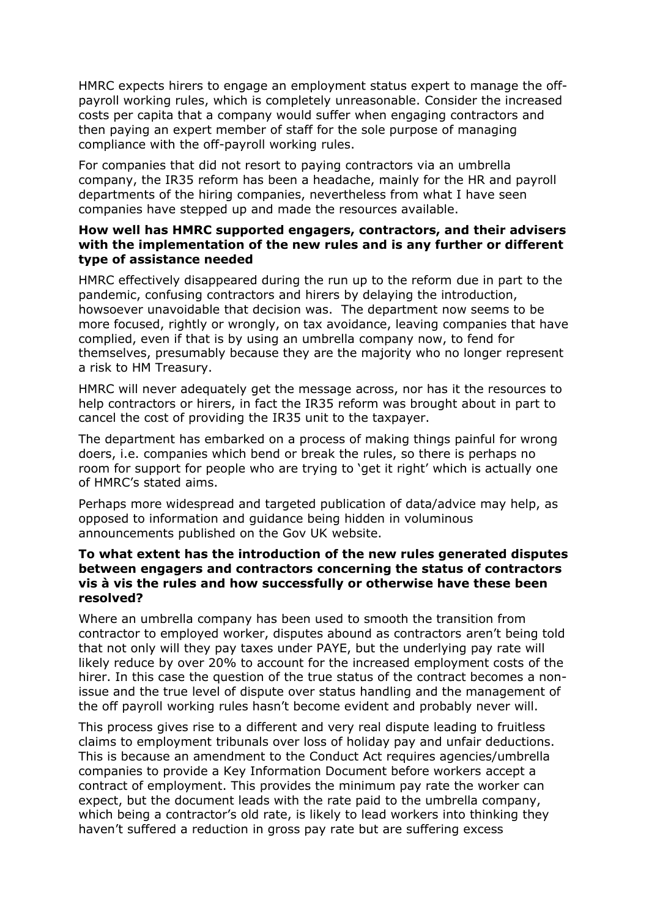HMRC expects hirers to engage an employment status expert to manage the offpayroll working rules, which is completely unreasonable. Consider the increased costs per capita that a company would suffer when engaging contractors and then paying an expert member of staff for the sole purpose of managing compliance with the off-payroll working rules.

For companies that did not resort to paying contractors via an umbrella company, the IR35 reform has been a headache, mainly for the HR and payroll departments of the hiring companies, nevertheless from what I have seen companies have stepped up and made the resources available.

# **How well has HMRC supported engagers, contractors, and their advisers with the implementation of the new rules and is any further or different type of assistance needed**

HMRC effectively disappeared during the run up to the reform due in part to the pandemic, confusing contractors and hirers by delaying the introduction, howsoever unavoidable that decision was. The department now seems to be more focused, rightly or wrongly, on tax avoidance, leaving companies that have complied, even if that is by using an umbrella company now, to fend for themselves, presumably because they are the majority who no longer represent a risk to HM Treasury.

HMRC will never adequately get the message across, nor has it the resources to help contractors or hirers, in fact the IR35 reform was brought about in part to cancel the cost of providing the IR35 unit to the taxpayer.

The department has embarked on a process of making things painful for wrong doers, i.e. companies which bend or break the rules, so there is perhaps no room for support for people who are trying to 'get it right' which is actually one of HMRC's stated aims.

Perhaps more widespread and targeted publication of data/advice may help, as opposed to information and guidance being hidden in voluminous announcements published on the Gov UK website.

## **To what extent has the introduction of the new rules generated disputes between engagers and contractors concerning the status of contractors vis à vis the rules and how successfully or otherwise have these been resolved?**

Where an umbrella company has been used to smooth the transition from contractor to employed worker, disputes abound as contractors aren't being told that not only will they pay taxes under PAYE, but the underlying pay rate will likely reduce by over 20% to account for the increased employment costs of the hirer. In this case the question of the true status of the contract becomes a nonissue and the true level of dispute over status handling and the management of the off payroll working rules hasn't become evident and probably never will.

This process gives rise to a different and very real dispute leading to fruitless claims to employment tribunals over loss of holiday pay and unfair deductions. This is because an amendment to the Conduct Act requires agencies/umbrella companies to provide a Key Information Document before workers accept a contract of employment. This provides the minimum pay rate the worker can expect, but the document leads with the rate paid to the umbrella company, which being a contractor's old rate, is likely to lead workers into thinking they haven't suffered a reduction in gross pay rate but are suffering excess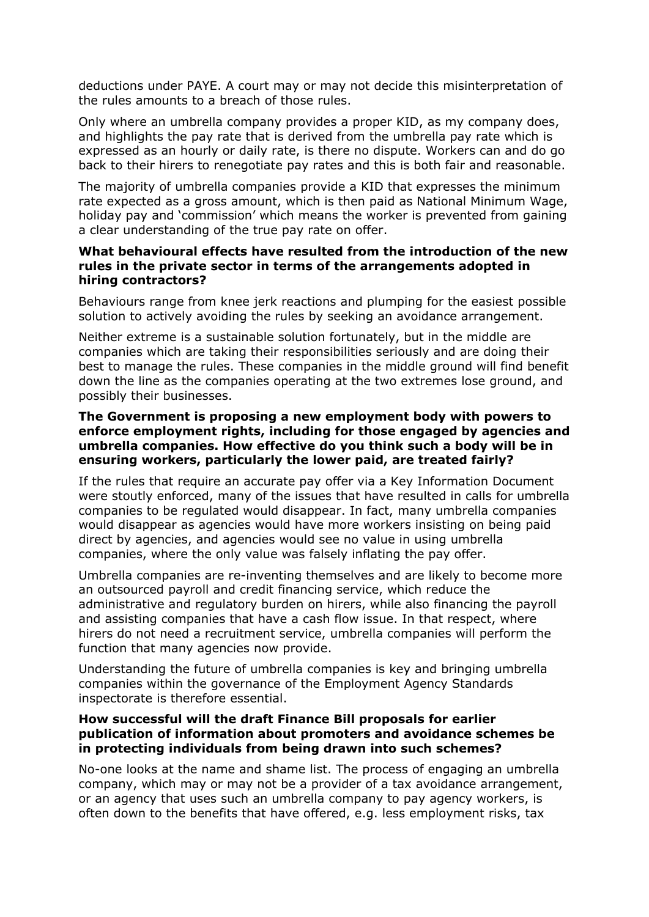deductions under PAYE. A court may or may not decide this misinterpretation of the rules amounts to a breach of those rules.

Only where an umbrella company provides a proper KID, as my company does, and highlights the pay rate that is derived from the umbrella pay rate which is expressed as an hourly or daily rate, is there no dispute. Workers can and do go back to their hirers to renegotiate pay rates and this is both fair and reasonable.

The majority of umbrella companies provide a KID that expresses the minimum rate expected as a gross amount, which is then paid as National Minimum Wage, holiday pay and 'commission' which means the worker is prevented from gaining a clear understanding of the true pay rate on offer.

## **What behavioural effects have resulted from the introduction of the new rules in the private sector in terms of the arrangements adopted in hiring contractors?**

Behaviours range from knee jerk reactions and plumping for the easiest possible solution to actively avoiding the rules by seeking an avoidance arrangement.

Neither extreme is a sustainable solution fortunately, but in the middle are companies which are taking their responsibilities seriously and are doing their best to manage the rules. These companies in the middle ground will find benefit down the line as the companies operating at the two extremes lose ground, and possibly their businesses.

### **The Government is proposing a new employment body with powers to enforce employment rights, including for those engaged by agencies and umbrella companies. How effective do you think such a body will be in ensuring workers, particularly the lower paid, are treated fairly?**

If the rules that require an accurate pay offer via a Key Information Document were stoutly enforced, many of the issues that have resulted in calls for umbrella companies to be regulated would disappear. In fact, many umbrella companies would disappear as agencies would have more workers insisting on being paid direct by agencies, and agencies would see no value in using umbrella companies, where the only value was falsely inflating the pay offer.

Umbrella companies are re-inventing themselves and are likely to become more an outsourced payroll and credit financing service, which reduce the administrative and regulatory burden on hirers, while also financing the payroll and assisting companies that have a cash flow issue. In that respect, where hirers do not need a recruitment service, umbrella companies will perform the function that many agencies now provide.

Understanding the future of umbrella companies is key and bringing umbrella companies within the governance of the Employment Agency Standards inspectorate is therefore essential.

## **How successful will the draft Finance Bill proposals for earlier publication of information about promoters and avoidance schemes be in protecting individuals from being drawn into such schemes?**

No-one looks at the name and shame list. The process of engaging an umbrella company, which may or may not be a provider of a tax avoidance arrangement, or an agency that uses such an umbrella company to pay agency workers, is often down to the benefits that have offered, e.g. less employment risks, tax